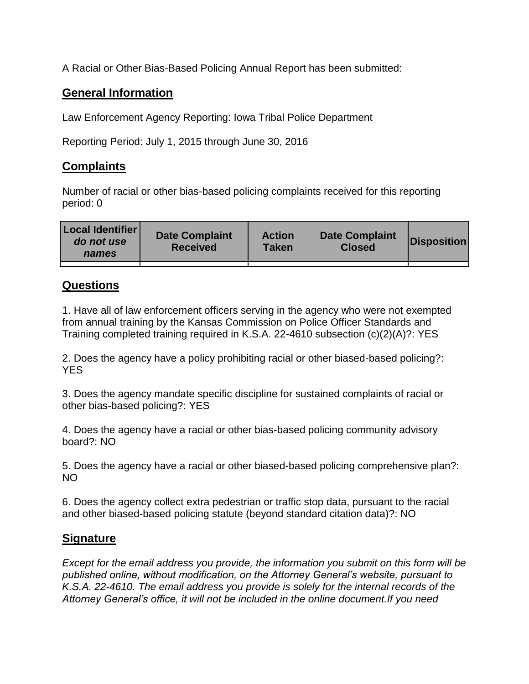A Racial or Other Bias-Based Policing Annual Report has been submitted:

## **General Information**

Law Enforcement Agency Reporting: Iowa Tribal Police Department

Reporting Period: July 1, 2015 through June 30, 2016

## **Complaints**

Number of racial or other bias-based policing complaints received for this reporting period: 0

| <b>Local Identifier</b><br>do not use<br>names | <b>Date Complaint</b><br><b>Received</b> | <b>Action</b><br><b>Taken</b> | <b>Date Complaint</b><br><b>Closed</b> | Disposition |
|------------------------------------------------|------------------------------------------|-------------------------------|----------------------------------------|-------------|
|                                                |                                          |                               |                                        |             |

## **Questions**

1. Have all of law enforcement officers serving in the agency who were not exempted from annual training by the Kansas Commission on Police Officer Standards and Training completed training required in K.S.A. 22-4610 subsection (c)(2)(A)?: YES

2. Does the agency have a policy prohibiting racial or other biased-based policing?: YES

3. Does the agency mandate specific discipline for sustained complaints of racial or other bias-based policing?: YES

4. Does the agency have a racial or other bias-based policing community advisory board?: NO

5. Does the agency have a racial or other biased-based policing comprehensive plan?: NO

6. Does the agency collect extra pedestrian or traffic stop data, pursuant to the racial and other biased-based policing statute (beyond standard citation data)?: NO

## **Signature**

*Except for the email address you provide, the information you submit on this form will be published online, without modification, on the Attorney General's website, pursuant to K.S.A. 22-4610. The email address you provide is solely for the internal records of the Attorney General's office, it will not be included in the online document.If you need*